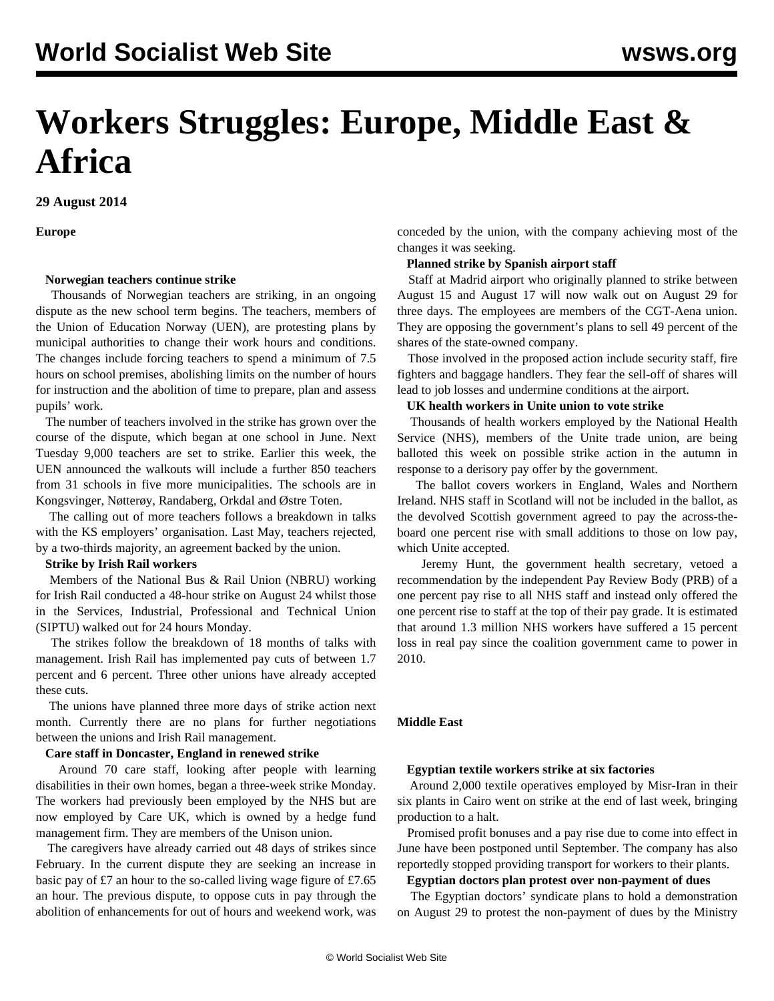# **Workers Struggles: Europe, Middle East & Africa**

**29 August 2014**

**Europe**

#### **Norwegian teachers continue strike**

 Thousands of Norwegian teachers are striking, in an ongoing dispute as the new school term begins. The teachers, members of the Union of Education Norway (UEN), are protesting plans by municipal authorities to change their work hours and conditions. The changes include forcing teachers to spend a minimum of 7.5 hours on school premises, abolishing limits on the number of hours for instruction and the abolition of time to prepare, plan and assess pupils' work.

 The number of teachers involved in the strike has grown over the course of the dispute, which began at one school in June. Next Tuesday 9,000 teachers are set to strike. Earlier this week, the UEN announced the walkouts will include a further 850 teachers from 31 schools in five more municipalities. The schools are in Kongsvinger, Nøtterøy, Randaberg, Orkdal and Østre Toten.

 The calling out of more teachers follows a breakdown in talks with the KS employers' organisation. Last May, teachers rejected, by a two-thirds majority, an agreement backed by the union.

#### **Strike by Irish Rail workers**

 Members of the National Bus & Rail Union (NBRU) working for Irish Rail conducted a 48-hour strike on August 24 whilst those in the Services, Industrial, Professional and Technical Union (SIPTU) walked out for 24 hours Monday.

 The strikes follow the breakdown of 18 months of talks with management. Irish Rail has implemented pay cuts of between 1.7 percent and 6 percent. Three other unions have already accepted these cuts.

 The unions have planned three more days of strike action next month. Currently there are no plans for further negotiations between the unions and Irish Rail management.

#### **Care staff in Doncaster, England in renewed strike**

 Around 70 care staff, looking after people with learning disabilities in their own homes, began a three-week strike Monday. The workers had previously been employed by the NHS but are now employed by Care UK, which is owned by a hedge fund management firm. They are members of the Unison union.

 The caregivers have already carried out 48 days of strikes since February. In the current dispute they are seeking an increase in basic pay of £7 an hour to the so-called living wage figure of £7.65 an hour. The previous dispute, to oppose cuts in pay through the abolition of enhancements for out of hours and weekend work, was conceded by the union, with the company achieving most of the changes it was seeking.

#### **Planned strike by Spanish airport staff**

 Staff at Madrid airport who originally planned to strike between August 15 and August 17 will now walk out on August 29 for three days. The employees are members of the CGT-Aena union. They are opposing the government's plans to sell 49 percent of the shares of the state-owned company.

 Those involved in the proposed action include security staff, fire fighters and baggage handlers. They fear the sell-off of shares will lead to job losses and undermine conditions at the airport.

#### **UK health workers in Unite union to vote strike**

 Thousands of health workers employed by the National Health Service (NHS), members of the Unite trade union, are being balloted this week on possible strike action in the autumn in response to a derisory pay offer by the government.

 The ballot covers workers in England, Wales and Northern Ireland. NHS staff in Scotland will not be included in the ballot, as the devolved Scottish government agreed to pay the across-theboard one percent rise with small additions to those on low pay, which Unite accepted.

 Jeremy Hunt, the government health secretary, vetoed a recommendation by the independent Pay Review Body (PRB) of a one percent pay rise to all NHS staff and instead only offered the one percent rise to staff at the top of their pay grade. It is estimated that around 1.3 million NHS workers have suffered a 15 percent loss in real pay since the coalition government came to power in 2010.

# **Middle East**

# **Egyptian textile workers strike at six factories**

 Around 2,000 textile operatives employed by Misr-Iran in their six plants in Cairo went on strike at the end of last week, bringing production to a halt.

 Promised profit bonuses and a pay rise due to come into effect in June have been postponed until September. The company has also reportedly stopped providing transport for workers to their plants.

#### **Egyptian doctors plan protest over non-payment of dues**

 The Egyptian doctors' syndicate plans to hold a demonstration on August 29 to protest the non-payment of dues by the Ministry